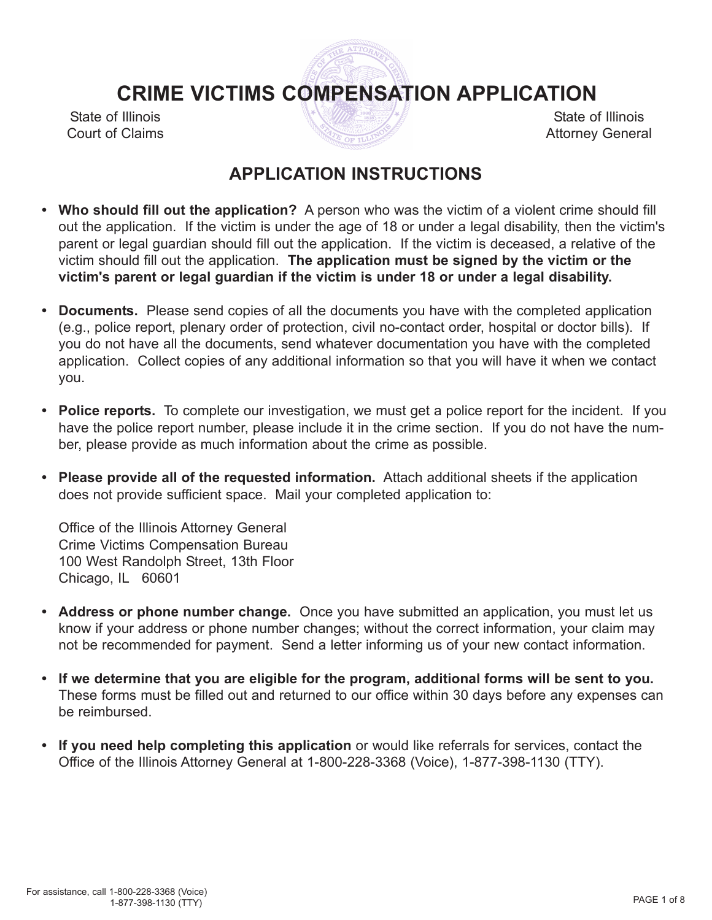# **CRIME VICTIMS COMPENSATION APPLICATION**

State of Illinois Court of Claims

State of Illinois Attorney General

# **APPLICATION INSTRUCTIONS**

- **• Who should fill out the application?** A person who was the victim of a violent crime should fill out the application. If the victim is under the age of 18 or under a legal disability, then the victim's parent or legal guardian should fill out the application. If the victim is deceased, a relative of the victim should fill out the application. **The application must be signed by the victim or the victim's parent or legal guardian if the victim is under 18 or under a legal disability.**
- **• Documents.** Please send copies of all the documents you have with the completed application (e.g., police report, plenary order of protection, civil no-contact order, hospital or doctor bills). If you do not have all the documents, send whatever documentation you have with the completed application. Collect copies of any additional information so that you will have it when we contact you.
- **• Police reports.** To complete our investigation, we must get a police report for the incident. If you have the police report number, please include it in the crime section. If you do not have the number, please provide as much information about the crime as possible.
- **• Please provide all of the requested information.** Attach additional sheets if the application does not provide sufficient space. Mail your completed application to:

Office of the Illinois Attorney General Crime Victims Compensation Bureau 100 West Randolph Street, 13th Floor Chicago, IL 60601

- **• Address or phone number change.** Once you have submitted an application, you must let us know if your address or phone number changes; without the correct information, your claim may not be recommended for payment. Send a letter informing us of your new contact information.
- **• If we determine that you are eligible for the program, additional forms will be sent to you.** These forms must be filled out and returned to our office within 30 days before any expenses can be reimbursed.
- **• If you need help completing this application** or would like referrals for services, contact the Office of the Illinois Attorney General at 1-800-228-3368 (Voice), 1-877-398-1130 (TTY).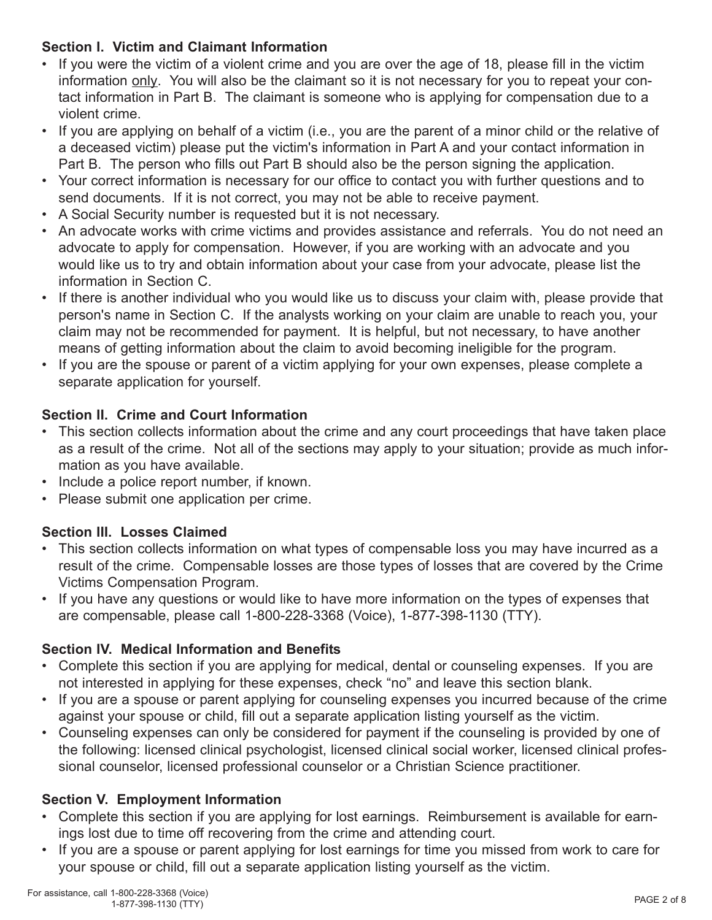## **Section I. Victim and Claimant Information**

- If you were the victim of a violent crime and you are over the age of 18, please fill in the victim information only. You will also be the claimant so it is not necessary for you to repeat your contact information in Part B. The claimant is someone who is applying for compensation due to a violent crime.
- If you are applying on behalf of a victim (i.e., you are the parent of a minor child or the relative of a deceased victim) please put the victim's information in Part A and your contact information in Part B. The person who fills out Part B should also be the person signing the application.
- Your correct information is necessary for our office to contact you with further questions and to send documents. If it is not correct, you may not be able to receive payment.
- A Social Security number is requested but it is not necessary.
- An advocate works with crime victims and provides assistance and referrals. You do not need an advocate to apply for compensation. However, if you are working with an advocate and you would like us to try and obtain information about your case from your advocate, please list the information in Section C.
- If there is another individual who you would like us to discuss your claim with, please provide that person's name in Section C. If the analysts working on your claim are unable to reach you, your claim may not be recommended for payment. It is helpful, but not necessary, to have another means of getting information about the claim to avoid becoming ineligible for the program.
- If you are the spouse or parent of a victim applying for your own expenses, please complete a separate application for yourself.

## **Section II. Crime and Court Information**

- This section collects information about the crime and any court proceedings that have taken place as a result of the crime. Not all of the sections may apply to your situation; provide as much information as you have available.
- Include a police report number, if known.
- Please submit one application per crime.

## **Section III. Losses Claimed**

- This section collects information on what types of compensable loss you may have incurred as a result of the crime. Compensable losses are those types of losses that are covered by the Crime Victims Compensation Program.
- If you have any questions or would like to have more information on the types of expenses that are compensable, please call 1-800-228-3368 (Voice), 1-877-398-1130 (TTY).

## **Section IV. Medical Information and Benefits**

- Complete this section if you are applying for medical, dental or counseling expenses. If you are not interested in applying for these expenses, check "no" and leave this section blank.
- If you are a spouse or parent applying for counseling expenses you incurred because of the crime against your spouse or child, fill out a separate application listing yourself as the victim.
- Counseling expenses can only be considered for payment if the counseling is provided by one of the following: licensed clinical psychologist, licensed clinical social worker, licensed clinical professional counselor, licensed professional counselor or a Christian Science practitioner.

## **Section V. Employment Information**

- Complete this section if you are applying for lost earnings. Reimbursement is available for earnings lost due to time off recovering from the crime and attending court.
- If you are a spouse or parent applying for lost earnings for time you missed from work to care for your spouse or child, fill out a separate application listing yourself as the victim.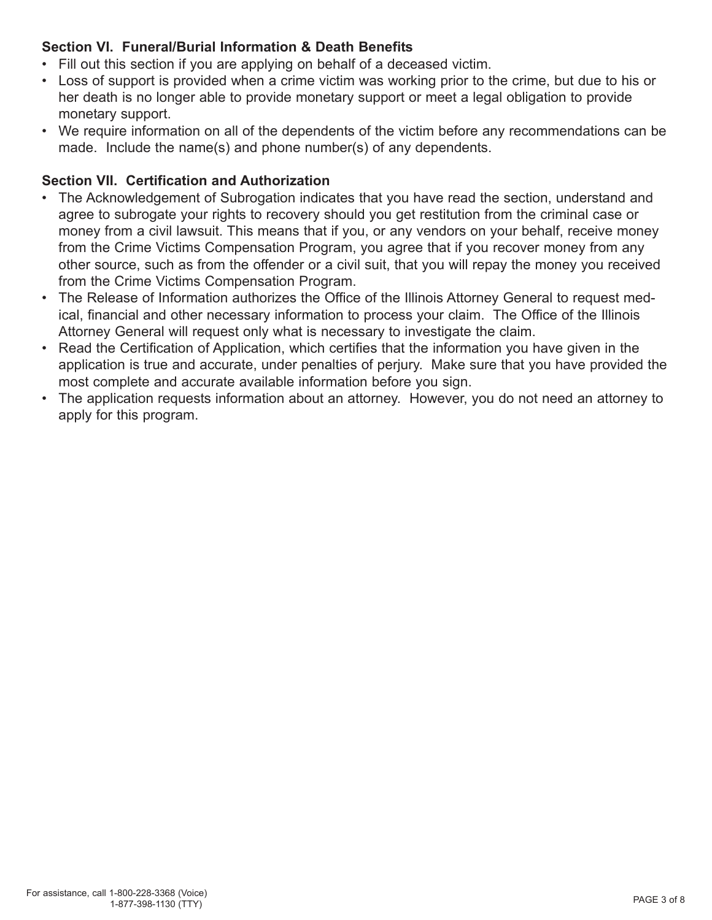## **Section VI. Funeral/Burial Information & Death Benefits**

- Fill out this section if you are applying on behalf of a deceased victim.
- Loss of support is provided when a crime victim was working prior to the crime, but due to his or her death is no longer able to provide monetary support or meet a legal obligation to provide monetary support.
- We require information on all of the dependents of the victim before any recommendations can be made. Include the name(s) and phone number(s) of any dependents.

## **Section VII. Certification and Authorization**

- The Acknowledgement of Subrogation indicates that you have read the section, understand and agree to subrogate your rights to recovery should you get restitution from the criminal case or money from a civil lawsuit. This means that if you, or any vendors on your behalf, receive money from the Crime Victims Compensation Program, you agree that if you recover money from any other source, such as from the offender or a civil suit, that you will repay the money you received from the Crime Victims Compensation Program.
- The Release of Information authorizes the Office of the Illinois Attorney General to request medical, financial and other necessary information to process your claim. The Office of the Illinois Attorney General will request only what is necessary to investigate the claim.
- Read the Certification of Application, which certifies that the information you have given in the application is true and accurate, under penalties of perjury. Make sure that you have provided the most complete and accurate available information before you sign.
- The application requests information about an attorney. However, you do not need an attorney to apply for this program.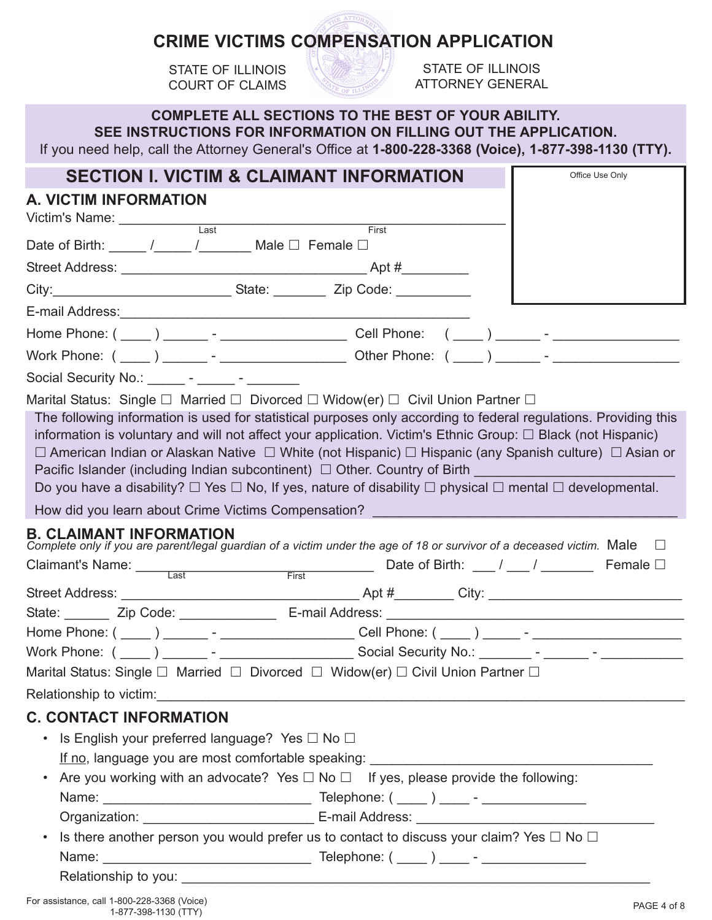# **CRIME VICTIMS COMPENSATION APPLICATION**

STATE OF ILLINOIS COURT OF CLAIMS



STATE OF ILLINOIS ATTORNEY GENERAL

|                                                                                                                                                                                                                                                                                                                                                                                                                                                                                                                                                                                                                | <b>COMPLETE ALL SECTIONS TO THE BEST OF YOUR ABILITY.</b> |                                              |
|----------------------------------------------------------------------------------------------------------------------------------------------------------------------------------------------------------------------------------------------------------------------------------------------------------------------------------------------------------------------------------------------------------------------------------------------------------------------------------------------------------------------------------------------------------------------------------------------------------------|-----------------------------------------------------------|----------------------------------------------|
| SEE INSTRUCTIONS FOR INFORMATION ON FILLING OUT THE APPLICATION.<br>If you need help, call the Attorney General's Office at 1-800-228-3368 (Voice), 1-877-398-1130 (TTY).                                                                                                                                                                                                                                                                                                                                                                                                                                      |                                                           |                                              |
| <b>SECTION I. VICTIM &amp; CLAIMANT INFORMATION</b>                                                                                                                                                                                                                                                                                                                                                                                                                                                                                                                                                            |                                                           | Office Use Only                              |
| <b>A. VICTIM INFORMATION</b><br>Victim's Name: ________________                                                                                                                                                                                                                                                                                                                                                                                                                                                                                                                                                |                                                           |                                              |
| $\overline{Last}$<br>Date of Birth: _____ /_____ /_______ Male □ Female □                                                                                                                                                                                                                                                                                                                                                                                                                                                                                                                                      | First                                                     |                                              |
|                                                                                                                                                                                                                                                                                                                                                                                                                                                                                                                                                                                                                |                                                           |                                              |
|                                                                                                                                                                                                                                                                                                                                                                                                                                                                                                                                                                                                                |                                                           |                                              |
|                                                                                                                                                                                                                                                                                                                                                                                                                                                                                                                                                                                                                |                                                           |                                              |
|                                                                                                                                                                                                                                                                                                                                                                                                                                                                                                                                                                                                                |                                                           |                                              |
|                                                                                                                                                                                                                                                                                                                                                                                                                                                                                                                                                                                                                |                                                           |                                              |
| Social Security No.: ______ - _____ - _______ -                                                                                                                                                                                                                                                                                                                                                                                                                                                                                                                                                                |                                                           |                                              |
| The following information is used for statistical purposes only according to federal regulations. Providing this<br>information is voluntary and will not affect your application. Victim's Ethnic Group: $\Box$ Black (not Hispanic)<br>$\Box$ American Indian or Alaskan Native $\Box$ White (not Hispanic) $\Box$ Hispanic (any Spanish culture) $\Box$ Asian or<br>Pacific Islander (including Indian subcontinent) □ Other. Country of Birth ________________________<br>Do you have a disability? $\Box$ Yes $\Box$ No, If yes, nature of disability $\Box$ physical $\Box$ mental $\Box$ developmental. |                                                           |                                              |
| How did you learn about Crime Victims Compensation?                                                                                                                                                                                                                                                                                                                                                                                                                                                                                                                                                            |                                                           |                                              |
| <b>B. CLAIMANT INFORMATION</b><br>Complete only if you are parent/legal guardian of a victim under the age of 18 or survivor of a deceased victim. Male $\Box$<br>Claimant's Name: Last<br><b>Example 18</b>                                                                                                                                                                                                                                                                                                                                                                                                   | <u> 1999 - Johann Barnett, f</u>                          | Date of Birth: $\frac{1}{1}$ / Female $\Box$ |
|                                                                                                                                                                                                                                                                                                                                                                                                                                                                                                                                                                                                                |                                                           |                                              |
| Zip Code:<br>State:                                                                                                                                                                                                                                                                                                                                                                                                                                                                                                                                                                                            | E-mail Address:                                           |                                              |
|                                                                                                                                                                                                                                                                                                                                                                                                                                                                                                                                                                                                                |                                                           |                                              |
|                                                                                                                                                                                                                                                                                                                                                                                                                                                                                                                                                                                                                |                                                           |                                              |
| Marital Status: Single □ Married □ Divorced □ Widow(er) □ Civil Union Partner □                                                                                                                                                                                                                                                                                                                                                                                                                                                                                                                                |                                                           |                                              |
|                                                                                                                                                                                                                                                                                                                                                                                                                                                                                                                                                                                                                |                                                           |                                              |
| <b>C. CONTACT INFORMATION</b>                                                                                                                                                                                                                                                                                                                                                                                                                                                                                                                                                                                  |                                                           |                                              |
| Is English your preferred language? Yes $\square$ No $\square$<br>$\bullet$                                                                                                                                                                                                                                                                                                                                                                                                                                                                                                                                    |                                                           |                                              |
|                                                                                                                                                                                                                                                                                                                                                                                                                                                                                                                                                                                                                |                                                           |                                              |
| Are you working with an advocate? Yes $\Box$ No $\Box$ If yes, please provide the following:                                                                                                                                                                                                                                                                                                                                                                                                                                                                                                                   |                                                           |                                              |
|                                                                                                                                                                                                                                                                                                                                                                                                                                                                                                                                                                                                                |                                                           |                                              |
| Is there another person you would prefer us to contact to discuss your claim? Yes $\Box$ No $\Box$                                                                                                                                                                                                                                                                                                                                                                                                                                                                                                             |                                                           |                                              |
|                                                                                                                                                                                                                                                                                                                                                                                                                                                                                                                                                                                                                |                                                           |                                              |
|                                                                                                                                                                                                                                                                                                                                                                                                                                                                                                                                                                                                                |                                                           |                                              |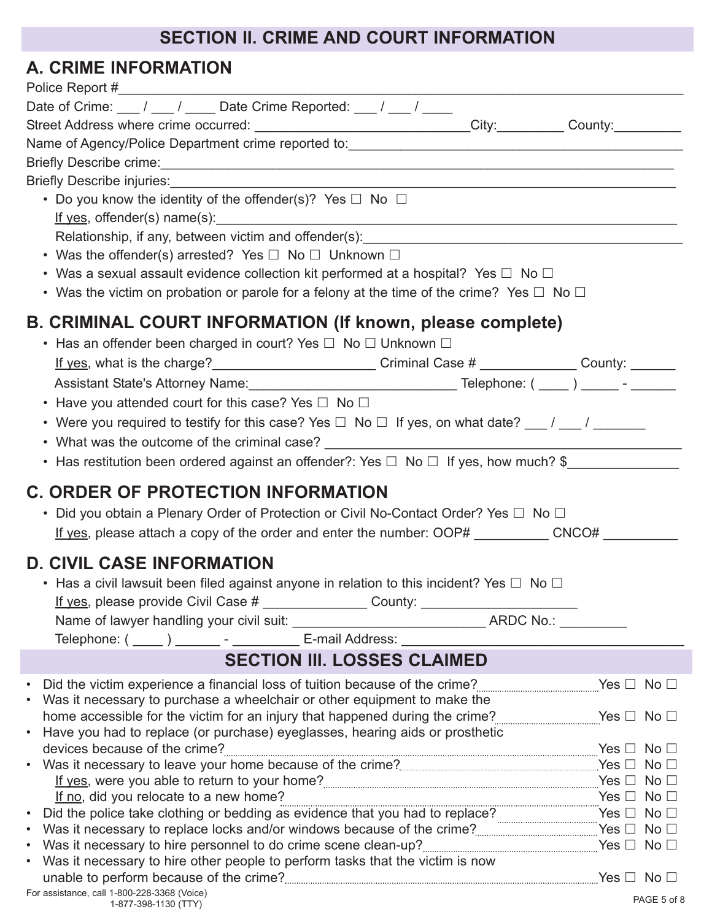# **SECTION II. CRIME AND COURT INFORMATION**

# **A. CRIME INFORMATION**

| Date of Crime: $\frac{1}{\sqrt{2}}$ / $\frac{1}{\sqrt{2}}$ Date Crime Reported: $\frac{1}{\sqrt{2}}$ / $\frac{1}{\sqrt{2}}$                                                                                                                                                          |  |             |
|--------------------------------------------------------------------------------------------------------------------------------------------------------------------------------------------------------------------------------------------------------------------------------------|--|-------------|
| Street Address where crime occurred: _____________________________City:__________ County:__________                                                                                                                                                                                  |  |             |
|                                                                                                                                                                                                                                                                                      |  |             |
| Briefly Describe crime: <u>Commission Commission Commission Commission Commission Commission Commission</u>                                                                                                                                                                          |  |             |
| Briefly Describe injuries:                                                                                                                                                                                                                                                           |  |             |
| • Do you know the identity of the offender(s)? Yes $\Box$ No $\Box$                                                                                                                                                                                                                  |  |             |
| If yes, offender(s) name(s): $\frac{1}{2}$ and $\frac{1}{2}$ and $\frac{1}{2}$ and $\frac{1}{2}$ and $\frac{1}{2}$ and $\frac{1}{2}$ and $\frac{1}{2}$ and $\frac{1}{2}$ and $\frac{1}{2}$ and $\frac{1}{2}$ and $\frac{1}{2}$ and $\frac{1}{2}$ and $\frac{1}{2}$ and $\frac{1}{2}$ |  |             |
|                                                                                                                                                                                                                                                                                      |  |             |
| • Was the offender(s) arrested? Yes $\Box$ No $\Box$ Unknown $\Box$                                                                                                                                                                                                                  |  |             |
| • Was a sexual assault evidence collection kit performed at a hospital? Yes $\Box$ No $\Box$                                                                                                                                                                                         |  |             |
| • Was the victim on probation or parole for a felony at the time of the crime? Yes $\Box$ No $\Box$                                                                                                                                                                                  |  |             |
|                                                                                                                                                                                                                                                                                      |  |             |
| B. CRIMINAL COURT INFORMATION (If known, please complete)                                                                                                                                                                                                                            |  |             |
| • Has an offender been charged in court? Yes $\Box$ No $\Box$ Unknown $\Box$                                                                                                                                                                                                         |  |             |
| If yes, what is the charge?_______________________________Criminal Case # _______________County: ________                                                                                                                                                                            |  |             |
|                                                                                                                                                                                                                                                                                      |  |             |
| • Have you attended court for this case? Yes $\Box$ No $\Box$                                                                                                                                                                                                                        |  |             |
| • Were you required to testify for this case? Yes $\Box$ No $\Box$ If yes, on what date? $\underline{\hspace{1cm}}$ / $\underline{\hspace{1cm}}$ / $\underline{\hspace{1cm}}$                                                                                                        |  |             |
|                                                                                                                                                                                                                                                                                      |  |             |
| • Has restitution been ordered against an offender?: Yes $\Box$ No $\Box$ If yes, how much? \$                                                                                                                                                                                       |  |             |
|                                                                                                                                                                                                                                                                                      |  |             |
| <b>C. ORDER OF PROTECTION INFORMATION</b>                                                                                                                                                                                                                                            |  |             |
|                                                                                                                                                                                                                                                                                      |  |             |
| • Did you obtain a Plenary Order of Protection or Civil No-Contact Order? Yes $\Box$ No $\Box$                                                                                                                                                                                       |  |             |
| If yes, please attach a copy of the order and enter the number: OOP# __________ CNCO# _____                                                                                                                                                                                          |  |             |
|                                                                                                                                                                                                                                                                                      |  |             |
| <b>D. CIVIL CASE INFORMATION</b>                                                                                                                                                                                                                                                     |  |             |
| • Has a civil lawsuit been filed against anyone in relation to this incident? Yes $\Box$ No $\Box$                                                                                                                                                                                   |  |             |
|                                                                                                                                                                                                                                                                                      |  |             |
|                                                                                                                                                                                                                                                                                      |  |             |
| Telephone: ( _____ ) ________ - _____________ E-mail Address: ___________                                                                                                                                                                                                            |  |             |
| <b>SECTION III. LOSSES CLAIMED</b>                                                                                                                                                                                                                                                   |  |             |
| Did the victim experience a financial loss of tuition because of the crime? 2000 manus and Yes $\Box$ No $\Box$                                                                                                                                                                      |  |             |
| Was it necessary to purchase a wheelchair or other equipment to make the                                                                                                                                                                                                             |  |             |
|                                                                                                                                                                                                                                                                                      |  |             |
| Have you had to replace (or purchase) eyeglasses, hearing aids or prosthetic                                                                                                                                                                                                         |  |             |
| devices because of the crime?<br>$\mathsf{Yes} \ \Box \ \ \mathsf{No} \ \Box$                                                                                                                                                                                                        |  |             |
|                                                                                                                                                                                                                                                                                      |  |             |
|                                                                                                                                                                                                                                                                                      |  |             |
|                                                                                                                                                                                                                                                                                      |  |             |
|                                                                                                                                                                                                                                                                                      |  |             |
| Did the police take clothing or bedding as evidence that you had to replace?<br>Was it necessary to replace locks and/or windows because of the crime?                                                                                                                               |  |             |
| Was it necessary to hire other people to perform tasks that the victim is now                                                                                                                                                                                                        |  |             |
| For assistance, call 1-800-228-3368 (Voice)                                                                                                                                                                                                                                          |  | PAGE 5 of 8 |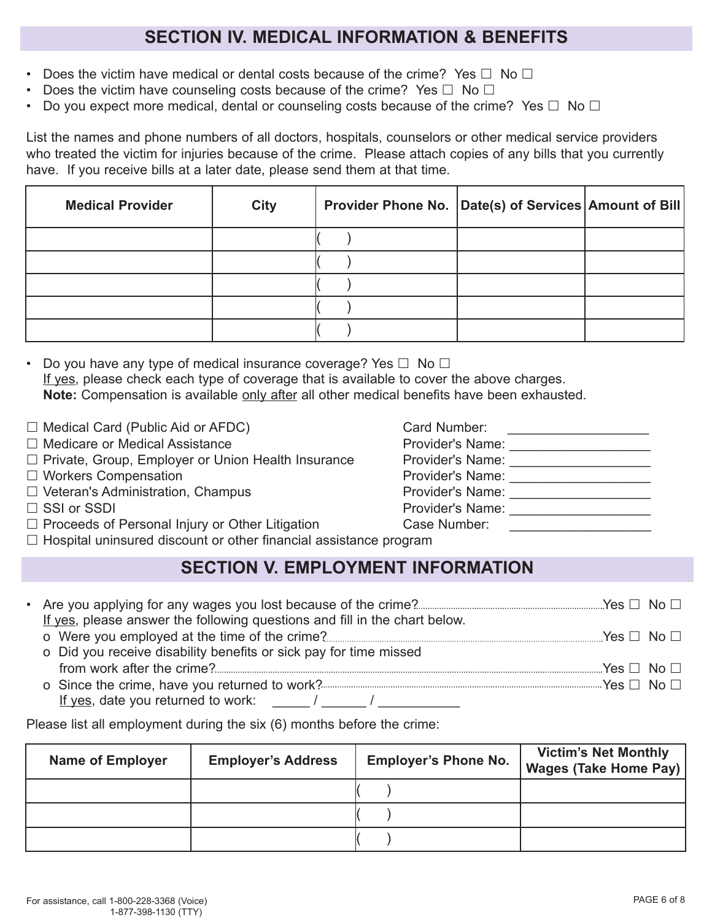# **SECTION IV. MEDICAL INFORMATION & BENEFITS**

- Does the victim have medical or dental costs because of the crime? Yes  $\Box$  No  $\Box$
- Does the victim have counseling costs because of the crime? Yes  $\Box$  No  $\Box$
- Do you expect more medical, dental or counseling costs because of the crime? Yes  $\Box$  No  $\Box$

List the names and phone numbers of all doctors, hospitals, counselors or other medical service providers who treated the victim for injuries because of the crime. Please attach copies of any bills that you currently have. If you receive bills at a later date, please send them at that time.

| <b>Medical Provider</b> | <b>City</b> | Provider Phone No. Date(s) of Services Amount of Bill |  |
|-------------------------|-------------|-------------------------------------------------------|--|
|                         |             |                                                       |  |
|                         |             |                                                       |  |
|                         |             |                                                       |  |
|                         |             |                                                       |  |
|                         |             |                                                       |  |

• Do you have any type of medical insurance coverage? Yes  $\Box$  No  $\Box$ If yes, please check each type of coverage that is available to cover the above charges. Note: Compensation is available only after all other medical benefits have been exhausted.

- $\Box$  Medical Card (Public Aid or AFDC) Card Number:
- 
- □ Private, Group, Employer or Union Health Insurance Provider's Name:
- 
- 
- □ Medicare or Medical Assistance and Assistance Provider's Name: \_\_\_\_\_\_\_\_\_\_\_\_\_\_\_ □ Workers Compensation example and the Provider's Name: \_\_\_\_\_\_\_\_\_\_\_\_\_\_\_\_\_\_\_\_\_\_\_  $\square$  Veteran's Administration, Champus Provider's Name:  $\square$  $\square$  SSI or SSDI  $\square$  Provider's Name:
- 
- $\Box$  Proceeds of Personal Injury or Other Litigation Case Number:

 $\Box$  Hospital uninsured discount or other financial assistance program

## **SECTION V. EMPLOYMENT INFORMATION**

| If yes, please answer the following questions and fill in the chart below. |  |
|----------------------------------------------------------------------------|--|
|                                                                            |  |
| o Did you receive disability benefits or sick pay for time missed          |  |
|                                                                            |  |
|                                                                            |  |
| If yes, date you returned to work: $\frac{1}{2}$ /                         |  |

Please list all employment during the six (6) months before the crime:

| <b>Name of Employer</b> | <b>Employer's Address</b> | <b>Employer's Phone No.</b> | <b>Victim's Net Monthly</b><br><b>Wages (Take Home Pay)</b> |
|-------------------------|---------------------------|-----------------------------|-------------------------------------------------------------|
|                         |                           |                             |                                                             |
|                         |                           |                             |                                                             |
|                         |                           |                             |                                                             |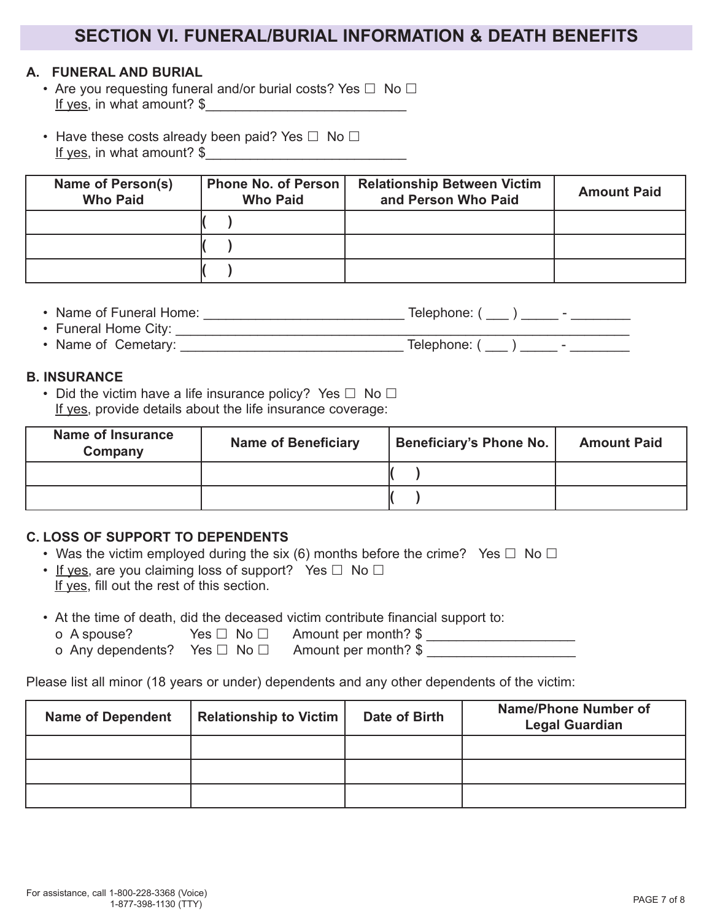## **SECTION VI. FUNERAL/BURIAL INFORMATION & DEATH BENEFITS**

### **A. FUNERAL AND BURIAL**

- Are you requesting funeral and/or burial costs? Yes  $\Box$  No  $\Box$ If yes, in what amount?  $\frac{1}{2}$
- Have these costs already been paid? Yes  $\Box$  No  $\Box$ If yes, in what amount? \$\_\_\_\_\_\_\_\_\_\_\_\_\_\_\_\_\_\_\_\_\_\_\_\_\_\_\_

| Name of Person(s)<br><b>Who Paid</b> | Phone No. of Person<br><b>Who Paid</b> | <b>Relationship Between Victim</b><br>and Person Who Paid | <b>Amount Paid</b> |
|--------------------------------------|----------------------------------------|-----------------------------------------------------------|--------------------|
|                                      |                                        |                                                           |                    |
|                                      |                                        |                                                           |                    |
|                                      |                                        |                                                           |                    |

| • Name of Funeral Home: | Telephone: ( |  |
|-------------------------|--------------|--|
| • Funeral Home City:    |              |  |

| • Name of<br>Cemetary:<br>lelephone: |
|--------------------------------------|
|--------------------------------------|

#### **B. INSURANCE**

• Did the victim have a life insurance policy? Yes  $\Box$  No  $\Box$ If yes, provide details about the life insurance coverage:

| <b>Name of Insurance</b><br>Company | <b>Name of Beneficiary</b> | <b>Beneficiary's Phone No.</b> | <b>Amount Paid</b> |
|-------------------------------------|----------------------------|--------------------------------|--------------------|
|                                     |                            |                                |                    |
|                                     |                            |                                |                    |

#### **C. LOSS OF SUPPORT TO DEPENDENTS**

- Was the victim employed during the six (6) months before the crime? Yes  $\Box$  No  $\Box$
- If yes, are you claiming loss of support? Yes  $\Box$  No  $\Box$ If yes, fill out the rest of this section.
- At the time of death, did the deceased victim contribute financial support to:
	- $\overline{O}$  A spouse? Yes  $\Box$  No  $\Box$  Amount per month?  $\overline{\$}$
	- o Any dependents? Yes  $\Box$  No  $\Box$  Amount per month?  $\frac{1}{2}$

Please list all minor (18 years or under) dependents and any other dependents of the victim:

| <b>Name of Dependent</b> | <b>Relationship to Victim</b> | Date of Birth | <b>Name/Phone Number of</b><br><b>Legal Guardian</b> |
|--------------------------|-------------------------------|---------------|------------------------------------------------------|
|                          |                               |               |                                                      |
|                          |                               |               |                                                      |
|                          |                               |               |                                                      |